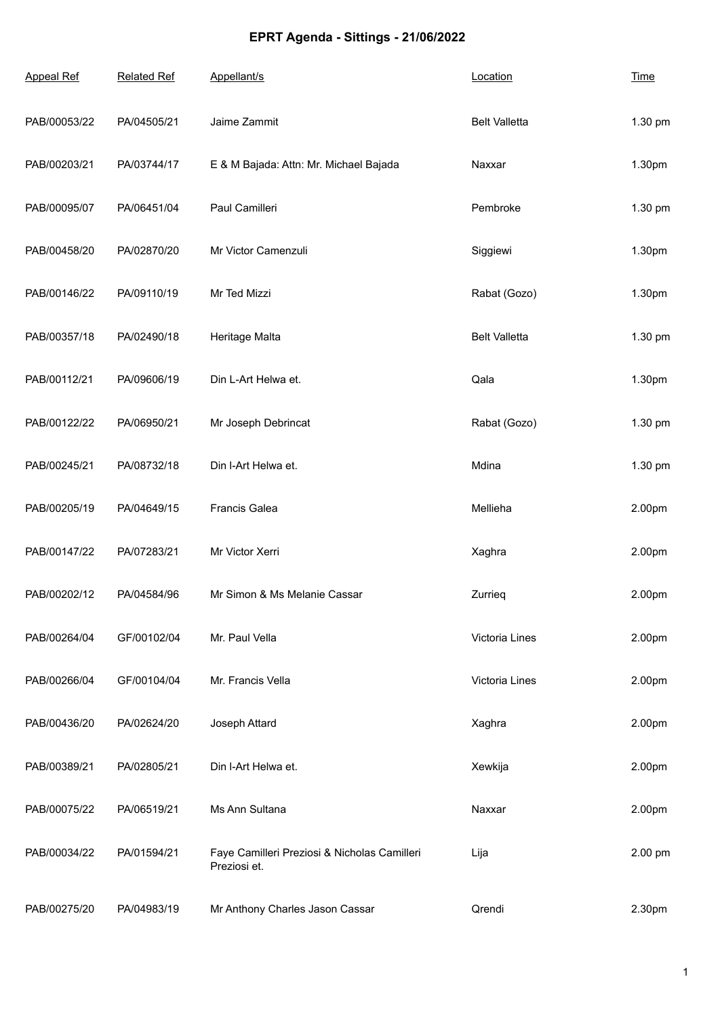## **EPRT Agenda - Sittings - 21/06/2022**

| <b>Appeal Ref</b> | <b>Related Ref</b> | Appellant/s                                                  | Location             | <b>Time</b> |
|-------------------|--------------------|--------------------------------------------------------------|----------------------|-------------|
| PAB/00053/22      | PA/04505/21        | Jaime Zammit                                                 | <b>Belt Valletta</b> | 1.30 pm     |
| PAB/00203/21      | PA/03744/17        | E & M Bajada: Attn: Mr. Michael Bajada                       | Naxxar               | 1.30pm      |
| PAB/00095/07      | PA/06451/04        | Paul Camilleri                                               | Pembroke             | 1.30 pm     |
| PAB/00458/20      | PA/02870/20        | Mr Victor Camenzuli                                          | Siggiewi             | 1.30pm      |
| PAB/00146/22      | PA/09110/19        | Mr Ted Mizzi                                                 | Rabat (Gozo)         | 1.30pm      |
| PAB/00357/18      | PA/02490/18        | Heritage Malta                                               | <b>Belt Valletta</b> | 1.30 pm     |
| PAB/00112/21      | PA/09606/19        | Din L-Art Helwa et.                                          | Qala                 | 1.30pm      |
| PAB/00122/22      | PA/06950/21        | Mr Joseph Debrincat                                          | Rabat (Gozo)         | 1.30 pm     |
| PAB/00245/21      | PA/08732/18        | Din I-Art Helwa et.                                          | Mdina                | 1.30 pm     |
| PAB/00205/19      | PA/04649/15        | Francis Galea                                                | Mellieha             | 2.00pm      |
| PAB/00147/22      | PA/07283/21        | Mr Victor Xerri                                              | Xaghra               | 2.00pm      |
| PAB/00202/12      | PA/04584/96        | Mr Simon & Ms Melanie Cassar                                 | Zurrieg              | 2.00pm      |
| PAB/00264/04      | GF/00102/04        | Mr. Paul Vella                                               | Victoria Lines       | 2.00pm      |
| PAB/00266/04      | GF/00104/04        | Mr. Francis Vella                                            | Victoria Lines       | 2.00pm      |
| PAB/00436/20      | PA/02624/20        | Joseph Attard                                                | Xaghra               | 2.00pm      |
| PAB/00389/21      | PA/02805/21        | Din I-Art Helwa et.                                          | Xewkija              | 2.00pm      |
| PAB/00075/22      | PA/06519/21        | Ms Ann Sultana                                               | Naxxar               | 2.00pm      |
| PAB/00034/22      | PA/01594/21        | Faye Camilleri Preziosi & Nicholas Camilleri<br>Preziosi et. | Lija                 | 2.00 pm     |
| PAB/00275/20      | PA/04983/19        | Mr Anthony Charles Jason Cassar                              | Qrendi               | 2.30pm      |